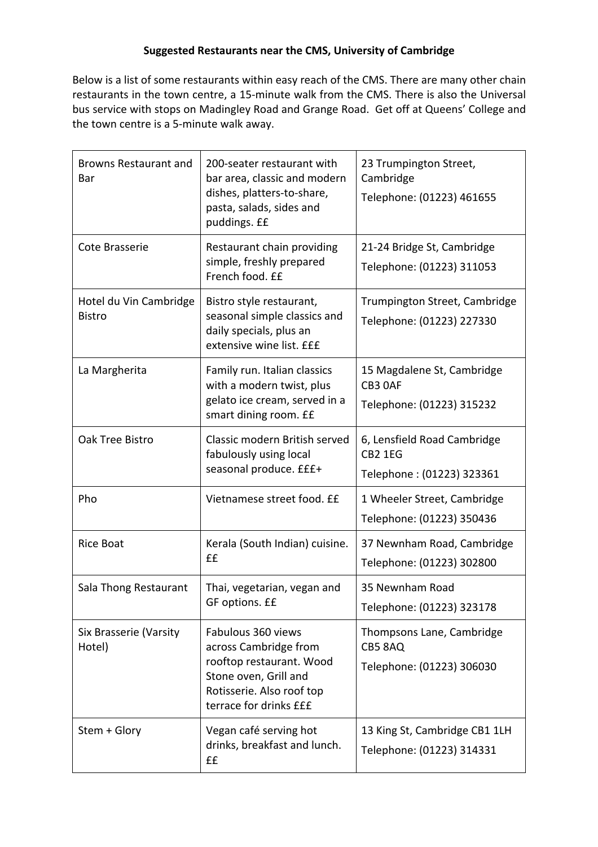## **Suggested Restaurants near the CMS, University of Cambridge**

Below is a list of some restaurants within easy reach of the CMS. There are many other chain restaurants in the town centre, a 15-minute walk from the CMS. There is also the Universal bus service with stops on Madingley Road and Grange Road. Get off at Queens' College and the town centre is a 5-minute walk away.

| <b>Browns Restaurant and</b><br>Bar     | 200-seater restaurant with<br>bar area, classic and modern<br>dishes, platters-to-share,<br>pasta, salads, sides and<br>puddings. ££                    | 23 Trumpington Street,<br>Cambridge<br>Telephone: (01223) 461655           |
|-----------------------------------------|---------------------------------------------------------------------------------------------------------------------------------------------------------|----------------------------------------------------------------------------|
| Cote Brasserie                          | Restaurant chain providing<br>simple, freshly prepared<br>French food. ££                                                                               | 21-24 Bridge St, Cambridge<br>Telephone: (01223) 311053                    |
| Hotel du Vin Cambridge<br><b>Bistro</b> | Bistro style restaurant,<br>seasonal simple classics and<br>daily specials, plus an<br>extensive wine list. EEE                                         | Trumpington Street, Cambridge<br>Telephone: (01223) 227330                 |
| La Margherita                           | Family run. Italian classics<br>with a modern twist, plus<br>gelato ice cream, served in a<br>smart dining room. EE                                     | 15 Magdalene St, Cambridge<br>CB3 OAF<br>Telephone: (01223) 315232         |
| Oak Tree Bistro                         | Classic modern British served<br>fabulously using local<br>seasonal produce. £££+                                                                       | 6, Lensfield Road Cambridge<br><b>CB2 1EG</b><br>Telephone: (01223) 323361 |
| Pho                                     | Vietnamese street food. ££                                                                                                                              | 1 Wheeler Street, Cambridge<br>Telephone: (01223) 350436                   |
| <b>Rice Boat</b>                        | Kerala (South Indian) cuisine.<br>££                                                                                                                    | 37 Newnham Road, Cambridge<br>Telephone: (01223) 302800                    |
| Sala Thong Restaurant                   | Thai, vegetarian, vegan and<br>GF options. ££                                                                                                           | 35 Newnham Road<br>Telephone: (01223) 323178                               |
| Six Brasserie (Varsity<br>Hotel)        | Fabulous 360 views<br>across Cambridge from<br>rooftop restaurant. Wood<br>Stone oven, Grill and<br>Rotisserie. Also roof top<br>terrace for drinks £££ | Thompsons Lane, Cambridge<br>CB5 8AQ<br>Telephone: (01223) 306030          |
| Stem + Glory                            | Vegan café serving hot<br>drinks, breakfast and lunch.<br>££                                                                                            | 13 King St, Cambridge CB1 1LH<br>Telephone: (01223) 314331                 |